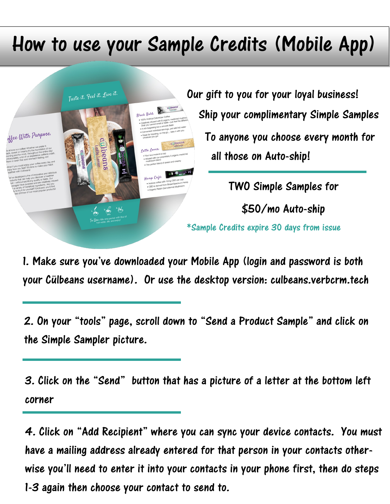## How to use your Sample Credits (Mobile App)



1. Make sure you've downloaded your Mobile App (login and password is both your Cülbeans username). Or use the desktop version: culbeans.verbcrm.tech

2. On your "tools" page, scroll down to "Send a Product Sample" and click on the Simple Sampler picture.

3. Click on the "Send" button that has a picture of a letter at the bottom left corner

4. Click on "Add Recipient" where you can sync your device contacts. You must have a mailing address already entered for that person in your contacts otherwise you'll need to enter it into your contacts in your phone first, then do steps 1-3 again then choose your contact to send to.